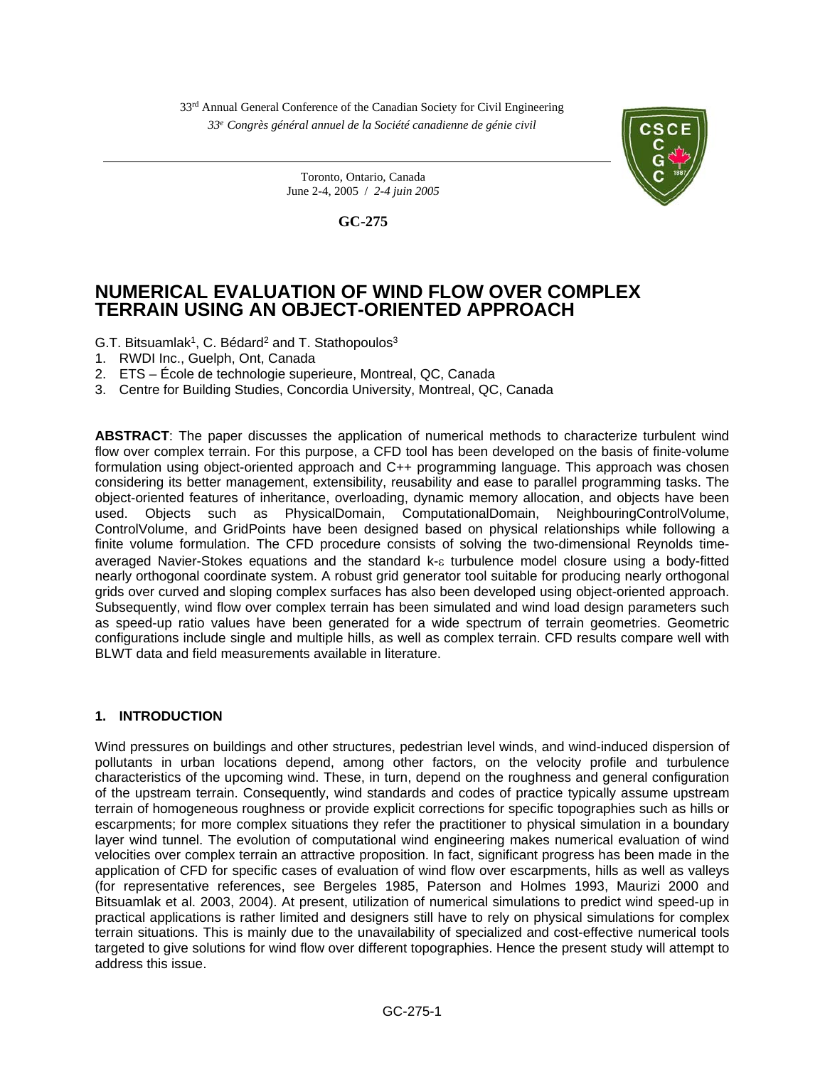33rd Annual General Conference of the Canadian Society for Civil Engineering *33e Congrès général annuel de la Société canadienne de génie civil* 

**GC-275** 

 Toronto, Ontario, Canada June 2-4, 2005 / *2-4 juin 2005*

# **NUMERICAL EVALUATION OF WIND FLOW OVER COMPLEX TERRAIN USING AN OBJECT-ORIENTED APPROACH**

G.T. Bitsuamlak<sup>1</sup>, C. Bédard<sup>2</sup> and T. Stathopoulos<sup>3</sup>

- 1. RWDI Inc., Guelph, Ont, Canada
- 2. ETS École de technologie superieure, Montreal, QC, Canada
- 3. Centre for Building Studies, Concordia University, Montreal, QC, Canada

**ABSTRACT**: The paper discusses the application of numerical methods to characterize turbulent wind flow over complex terrain. For this purpose, a CFD tool has been developed on the basis of finite-volume formulation using object-oriented approach and C++ programming language. This approach was chosen considering its better management, extensibility, reusability and ease to parallel programming tasks. The object-oriented features of inheritance, overloading, dynamic memory allocation, and objects have been used. Objects such as PhysicalDomain, ComputationalDomain, NeighbouringControlVolume, ControlVolume, and GridPoints have been designed based on physical relationships while following a finite volume formulation. The CFD procedure consists of solving the two-dimensional Reynolds timeaveraged Navier-Stokes equations and the standard  $k$ - $\varepsilon$  turbulence model closure using a body-fitted nearly orthogonal coordinate system. A robust grid generator tool suitable for producing nearly orthogonal grids over curved and sloping complex surfaces has also been developed using object-oriented approach. Subsequently, wind flow over complex terrain has been simulated and wind load design parameters such as speed-up ratio values have been generated for a wide spectrum of terrain geometries. Geometric configurations include single and multiple hills, as well as complex terrain. CFD results compare well with BLWT data and field measurements available in literature.

# **1. INTRODUCTION**

Wind pressures on buildings and other structures, pedestrian level winds, and wind-induced dispersion of pollutants in urban locations depend, among other factors, on the velocity profile and turbulence characteristics of the upcoming wind. These, in turn, depend on the roughness and general configuration of the upstream terrain. Consequently, wind standards and codes of practice typically assume upstream terrain of homogeneous roughness or provide explicit corrections for specific topographies such as hills or escarpments; for more complex situations they refer the practitioner to physical simulation in a boundary layer wind tunnel. The evolution of computational wind engineering makes numerical evaluation of wind velocities over complex terrain an attractive proposition. In fact, significant progress has been made in the application of CFD for specific cases of evaluation of wind flow over escarpments, hills as well as valleys (for representative references, see Bergeles 1985, Paterson and Holmes 1993, Maurizi 2000 and Bitsuamlak et al. 2003, 2004). At present, utilization of numerical simulations to predict wind speed-up in practical applications is rather limited and designers still have to rely on physical simulations for complex terrain situations. This is mainly due to the unavailability of specialized and cost-effective numerical tools targeted to give solutions for wind flow over different topographies. Hence the present study will attempt to address this issue.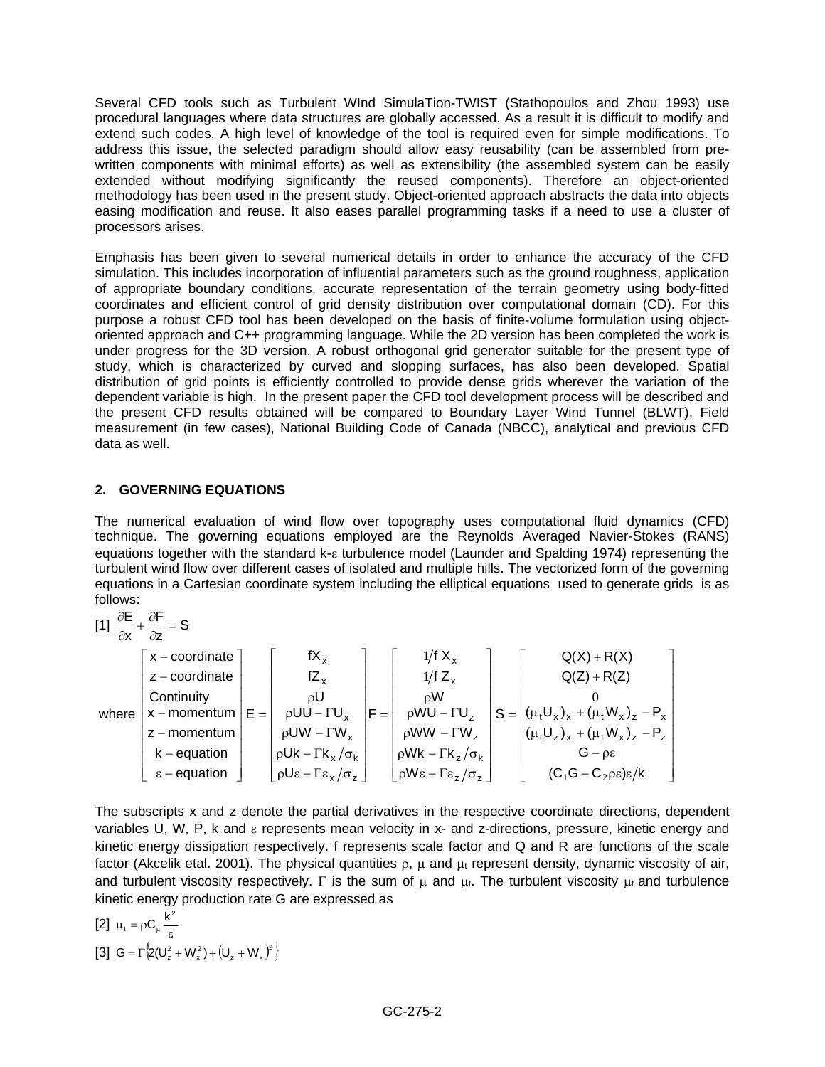Several CFD tools such as Turbulent WInd SimulaTion-TWIST (Stathopoulos and Zhou 1993) use procedural languages where data structures are globally accessed. As a result it is difficult to modify and extend such codes. A high level of knowledge of the tool is required even for simple modifications. To address this issue, the selected paradigm should allow easy reusability (can be assembled from prewritten components with minimal efforts) as well as extensibility (the assembled system can be easily extended without modifying significantly the reused components). Therefore an object-oriented methodology has been used in the present study. Object-oriented approach abstracts the data into objects easing modification and reuse. It also eases parallel programming tasks if a need to use a cluster of processors arises.

Emphasis has been given to several numerical details in order to enhance the accuracy of the CFD simulation. This includes incorporation of influential parameters such as the ground roughness, application of appropriate boundary conditions, accurate representation of the terrain geometry using body-fitted coordinates and efficient control of grid density distribution over computational domain (CD). For this purpose a robust CFD tool has been developed on the basis of finite-volume formulation using objectoriented approach and C++ programming language. While the 2D version has been completed the work is under progress for the 3D version. A robust orthogonal grid generator suitable for the present type of study, which is characterized by curved and slopping surfaces, has also been developed. Spatial distribution of grid points is efficiently controlled to provide dense grids wherever the variation of the dependent variable is high. In the present paper the CFD tool development process will be described and the present CFD results obtained will be compared to Boundary Layer Wind Tunnel (BLWT), Field measurement (in few cases), National Building Code of Canada (NBCC), analytical and previous CFD data as well.

# **2. GOVERNING EQUATIONS**

The numerical evaluation of wind flow over topography uses computational fluid dynamics (CFD) technique. The governing equations employed are the Reynolds Averaged Navier-Stokes (RANS) equations together with the standard  $k$ - $\varepsilon$  turbulence model (Launder and Spalding 1974) representing the turbulent wind flow over different cases of isolated and multiple hills. The vectorized form of the governing equations in a Cartesian coordinate system including the elliptical equations used to generate grids is as follows:

$$
[1] \frac{\partial E}{\partial x} + \frac{\partial F}{\partial z} = S
$$
\n
$$
\begin{bmatrix}\nx - \text{coordinate} \\
z - \text{coordinate} \\
\text{Continuity} \\
x - \text{momentum} \\
k - \text{equation}\n\end{bmatrix} E = \begin{bmatrix}\nfX_x \\
fZ_x \\
\rho U \\
\rho UU - \Gamma U_x \\
\rho UW - \Gamma W_x \\
\rho UK - \Gamma k_x / \sigma_k \\
\rho U \epsilon - \Gamma \epsilon_x / \sigma_z\n\end{bmatrix} F = \begin{bmatrix}\n1/f X_x \\
1/f Z_x \\
\rho W \\
\rho W W - \Gamma U_z \\
\rho W W - \Gamma W_z \\
\rho W K - \Gamma k_z / \sigma_k \\
\rho W K - \Gamma k_z / \sigma_k\n\end{bmatrix} S = \begin{bmatrix}\nQ(X) + R(X) \\
Q(Z) + R(Z) \\
0 \\
(\mu_t U_x)_x + (\mu_t W_x)_z - P_x \\
(\mu_t U_z)_x + (\mu_t W_x)_z - P_z \\
(\mu_t U_z)_x + (\mu_t W_x)_z - P_z \\
G - \rho \epsilon \\
G - \rho \epsilon\n\end{bmatrix}
$$

The subscripts x and z denote the partial derivatives in the respective coordinate directions, dependent variables U, W, P, k and  $\varepsilon$  represents mean velocity in x- and z-directions, pressure, kinetic energy and kinetic energy dissipation respectively. f represents scale factor and Q and R are functions of the scale factor (Akcelik etal. 2001). The physical quantities  $\rho$ ,  $\mu$  and  $\mu$ t represent density, dynamic viscosity of air, and turbulent viscosity respectively.  $\Gamma$  is the sum of  $\mu$  and  $\mu$ . The turbulent viscosity  $\mu$  and turbulence kinetic energy production rate G are expressed as

[2] 
$$
\mu_t = \rho C_\mu \frac{k^2}{\epsilon}
$$
  
\n[3]  $G = \Gamma \Big\{ Z(U_z^2 + W_x^2) + (U_z + W_x)^2 \Big\}$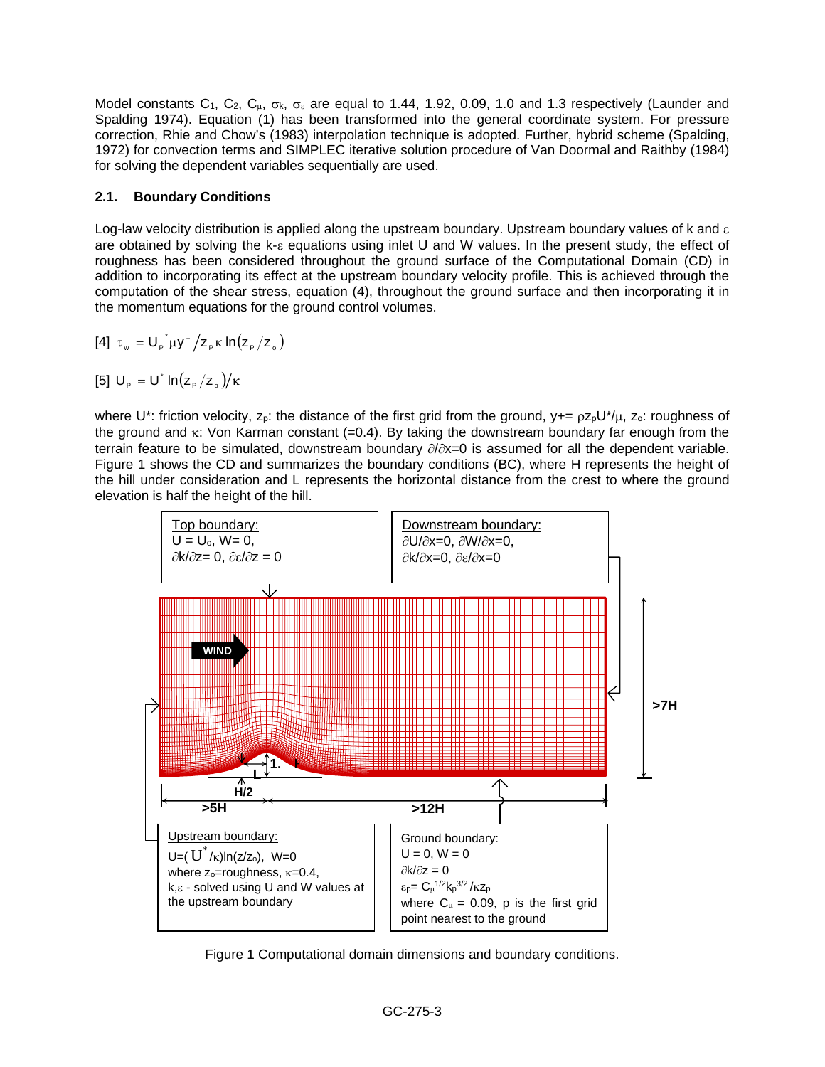Model constants C<sub>1</sub>, C<sub>2</sub>, C<sub>µ</sub>,  $\sigma_k$ ,  $\sigma_{\epsilon}$  are equal to 1.44, 1.92, 0.09, 1.0 and 1.3 respectively (Launder and Spalding 1974). Equation (1) has been transformed into the general coordinate system. For pressure correction, Rhie and Chow's (1983) interpolation technique is adopted. Further, hybrid scheme (Spalding, 1972) for convection terms and SIMPLEC iterative solution procedure of Van Doormal and Raithby (1984) for solving the dependent variables sequentially are used.

# **2.1. Boundary Conditions**

Log-law velocity distribution is applied along the upstream boundary. Upstream boundary values of k and  $\varepsilon$ are obtained by solving the  $k_{-E}$  equations using inlet U and W values. In the present study, the effect of roughness has been considered throughout the ground surface of the Computational Domain (CD) in addition to incorporating its effect at the upstream boundary velocity profile. This is achieved through the computation of the shear stress, equation (4), throughout the ground surface and then incorporating it in the momentum equations for the ground control volumes.

[4] 
$$
\tau_w = U_p^* \mu y^* / z_p \kappa \ln(z_p / z_o)
$$

$$
[5] U_{\rm p} = U^* \ln(z_{\rm p}/z_{\rm o})/\kappa
$$

where U\*: friction velocity,  $z_p$ : the distance of the first grid from the ground,  $y+=\rho z_p U^*/\mu$ ,  $z_0$ : roughness of the ground and  $\kappa$ : Von Karman constant (=0.4). By taking the downstream boundary far enough from the terrain feature to be simulated, downstream boundary  $\partial/\partial x=0$  is assumed for all the dependent variable. Figure 1 shows the CD and summarizes the boundary conditions (BC), where H represents the height of the hill under consideration and L represents the horizontal distance from the crest to where the ground elevation is half the height of the hill.



Figure 1 Computational domain dimensions and boundary conditions.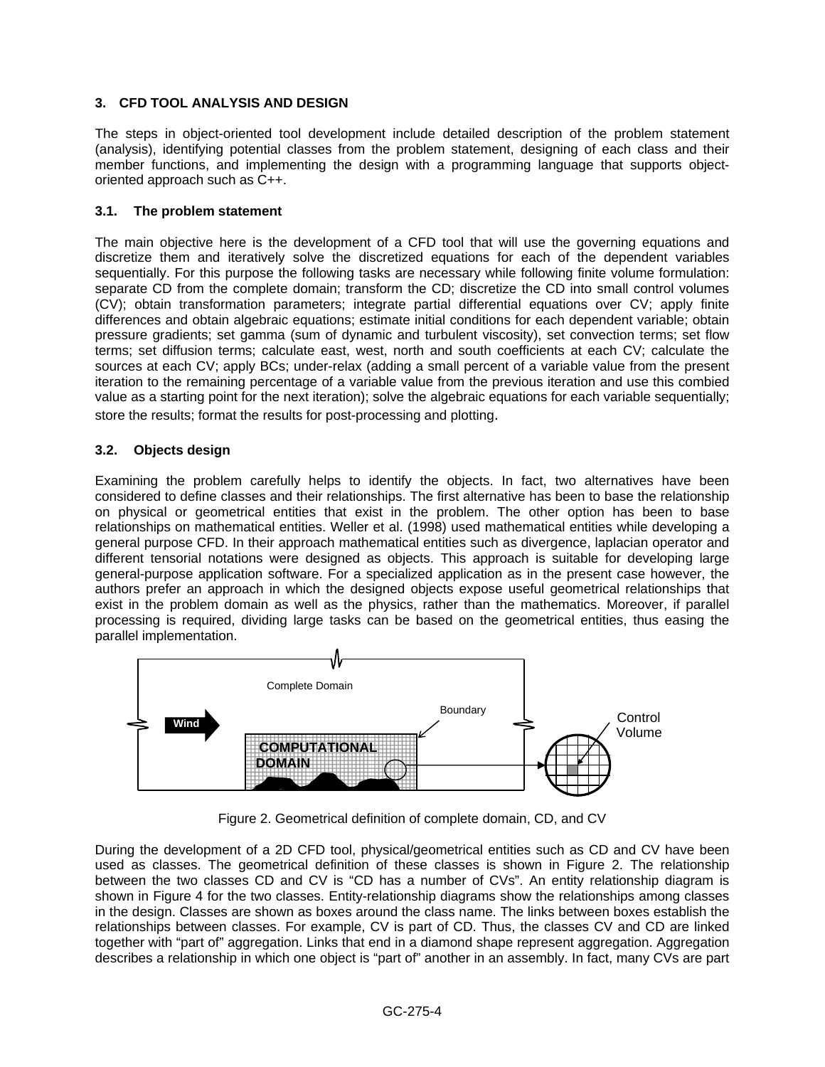# **3. CFD TOOL ANALYSIS AND DESIGN**

The steps in object-oriented tool development include detailed description of the problem statement (analysis), identifying potential classes from the problem statement, designing of each class and their member functions, and implementing the design with a programming language that supports objectoriented approach such as C++.

### **3.1. The problem statement**

The main objective here is the development of a CFD tool that will use the governing equations and discretize them and iteratively solve the discretized equations for each of the dependent variables sequentially. For this purpose the following tasks are necessary while following finite volume formulation: separate CD from the complete domain; transform the CD; discretize the CD into small control volumes (CV); obtain transformation parameters; integrate partial differential equations over CV; apply finite differences and obtain algebraic equations; estimate initial conditions for each dependent variable; obtain pressure gradients; set gamma (sum of dynamic and turbulent viscosity), set convection terms; set flow terms; set diffusion terms; calculate east, west, north and south coefficients at each CV; calculate the sources at each CV; apply BCs; under-relax (adding a small percent of a variable value from the present iteration to the remaining percentage of a variable value from the previous iteration and use this combied value as a starting point for the next iteration); solve the algebraic equations for each variable sequentially; store the results; format the results for post-processing and plotting.

#### **3.2. Objects design**

Examining the problem carefully helps to identify the objects. In fact, two alternatives have been considered to define classes and their relationships. The first alternative has been to base the relationship on physical or geometrical entities that exist in the problem. The other option has been to base relationships on mathematical entities. Weller et al. (1998) used mathematical entities while developing a general purpose CFD. In their approach mathematical entities such as divergence, laplacian operator and different tensorial notations were designed as objects. This approach is suitable for developing large general-purpose application software. For a specialized application as in the present case however, the authors prefer an approach in which the designed objects expose useful geometrical relationships that exist in the problem domain as well as the physics, rather than the mathematics. Moreover, if parallel processing is required, dividing large tasks can be based on the geometrical entities, thus easing the parallel implementation.



Figure 2. Geometrical definition of complete domain, CD, and CV

During the development of a 2D CFD tool, physical/geometrical entities such as CD and CV have been used as classes. The geometrical definition of these classes is shown in Figure 2. The relationship between the two classes CD and CV is "CD has a number of CVs". An entity relationship diagram is shown in Figure 4 for the two classes. Entity-relationship diagrams show the relationships among classes in the design. Classes are shown as boxes around the class name. The links between boxes establish the relationships between classes. For example, CV is part of CD. Thus, the classes CV and CD are linked together with "part of" aggregation. Links that end in a diamond shape represent aggregation. Aggregation describes a relationship in which one object is "part of" another in an assembly. In fact, many CVs are part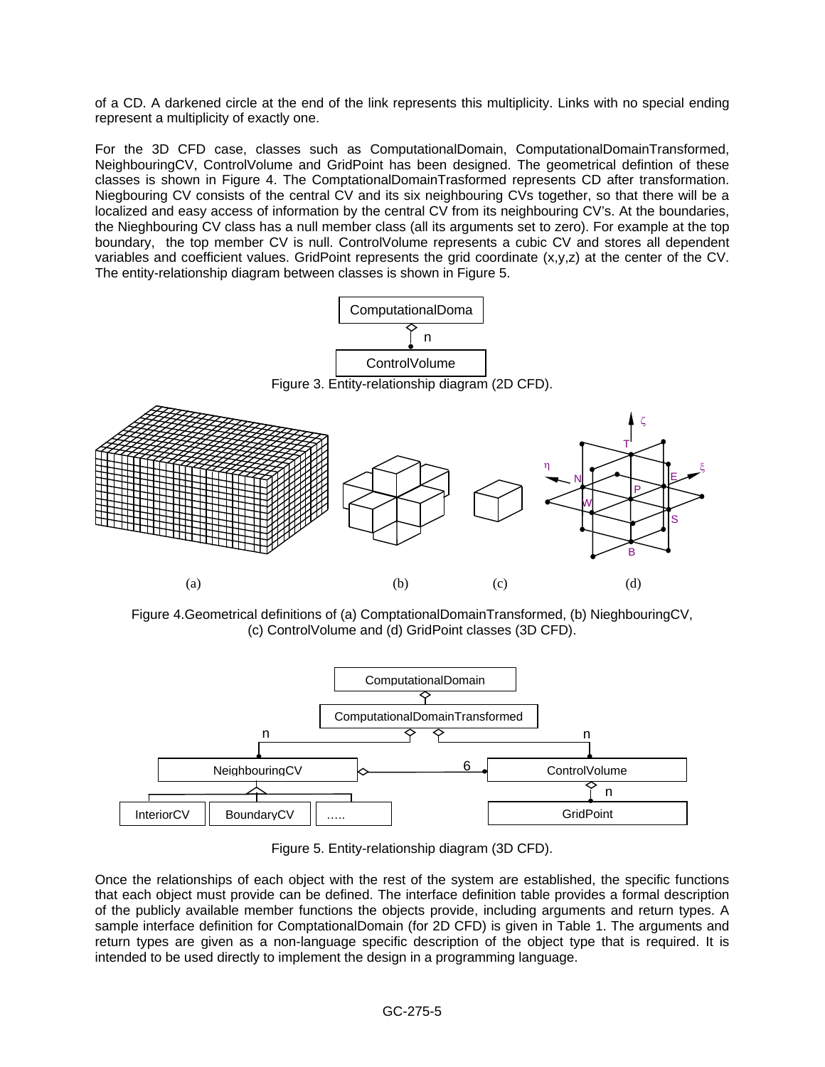of a CD. A darkened circle at the end of the link represents this multiplicity. Links with no special ending represent a multiplicity of exactly one.

For the 3D CFD case, classes such as ComputationalDomain, ComputationalDomainTransformed, NeighbouringCV, ControlVolume and GridPoint has been designed. The geometrical defintion of these classes is shown in Figure 4. The ComptationalDomainTrasformed represents CD after transformation. Niegbouring CV consists of the central CV and its six neighbouring CVs together, so that there will be a localized and easy access of information by the central CV from its neighbouring CV's. At the boundaries, the Nieghbouring CV class has a null member class (all its arguments set to zero). For example at the top boundary, the top member CV is null. ControlVolume represents a cubic CV and stores all dependent variables and coefficient values. GridPoint represents the grid coordinate (x,y,z) at the center of the CV. The entity-relationship diagram between classes is shown in Figure 5.





Figure 4.Geometrical definitions of (a) ComptationalDomainTransformed, (b) NieghbouringCV, (c) ControlVolume and (d) GridPoint classes (3D CFD).



Figure 5. Entity-relationship diagram (3D CFD).

Once the relationships of each object with the rest of the system are established, the specific functions that each object must provide can be defined. The interface definition table provides a formal description of the publicly available member functions the objects provide, including arguments and return types. A sample interface definition for ComptationalDomain (for 2D CFD) is given in Table 1. The arguments and return types are given as a non-language specific description of the object type that is required. It is intended to be used directly to implement the design in a programming language.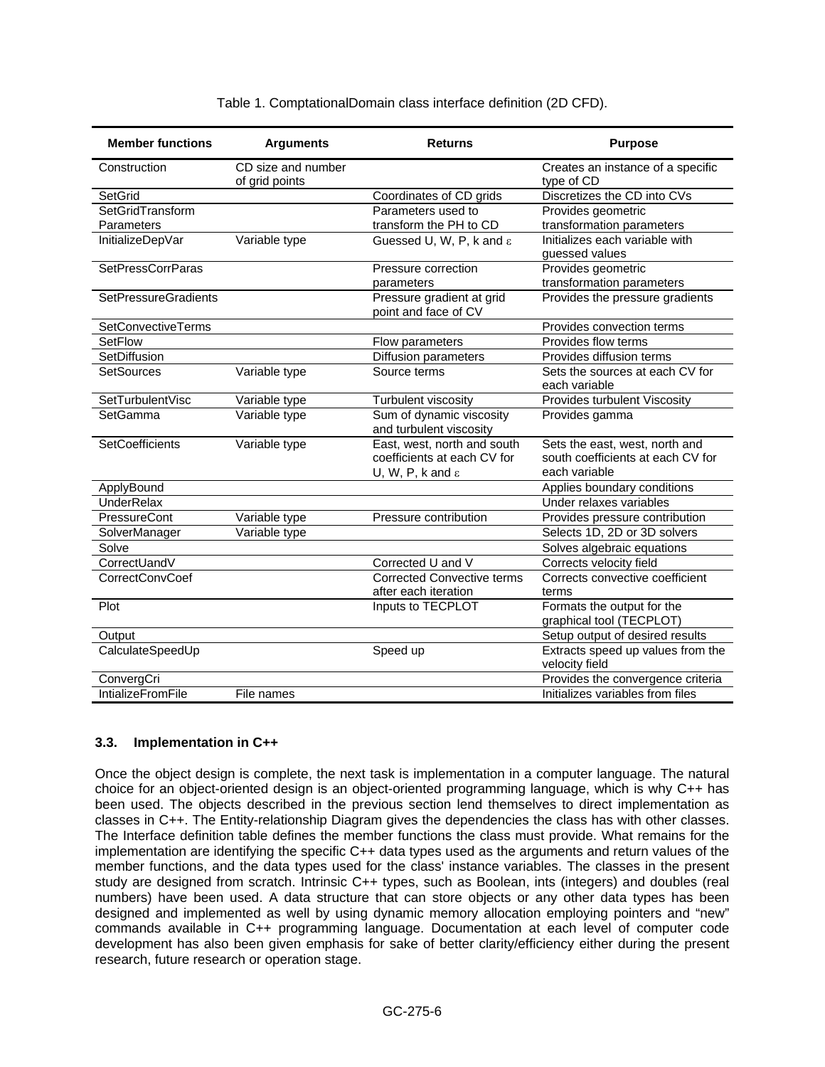| <b>Member functions</b>     | <b>Arguments</b>                     | <b>Returns</b>                                                                             | <b>Purpose</b>                                                                       |
|-----------------------------|--------------------------------------|--------------------------------------------------------------------------------------------|--------------------------------------------------------------------------------------|
| Construction                | CD size and number<br>of grid points |                                                                                            | Creates an instance of a specific<br>type of CD                                      |
| SetGrid                     |                                      | Coordinates of CD grids                                                                    | Discretizes the CD into CVs                                                          |
| SetGridTransform            |                                      | Parameters used to                                                                         | Provides geometric                                                                   |
| Parameters                  |                                      | transform the PH to CD                                                                     | transformation parameters                                                            |
| InitializeDepVar            | Variable type                        | Guessed U, W, P, k and ε                                                                   | Initializes each variable with<br>guessed values                                     |
| <b>SetPressCorrParas</b>    |                                      | Pressure correction                                                                        | Provides geometric                                                                   |
|                             |                                      | parameters                                                                                 | transformation parameters                                                            |
| <b>SetPressureGradients</b> |                                      | Pressure gradient at grid<br>point and face of CV                                          | Provides the pressure gradients                                                      |
| <b>SetConvectiveTerms</b>   |                                      |                                                                                            | Provides convection terms                                                            |
| <b>SetFlow</b>              |                                      | Flow parameters                                                                            | Provides flow terms                                                                  |
| SetDiffusion                |                                      | <b>Diffusion parameters</b>                                                                | Provides diffusion terms                                                             |
| <b>SetSources</b>           | Variable type                        | Source terms                                                                               | Sets the sources at each CV for<br>each variable                                     |
| SetTurbulentVisc            | Variable type                        | Turbulent viscosity                                                                        | Provides turbulent Viscosity                                                         |
| SetGamma                    | Variable type                        | Sum of dynamic viscosity<br>and turbulent viscosity                                        | Provides gamma                                                                       |
| SetCoefficients             | Variable type                        | East, west, north and south<br>coefficients at each CV for<br>U, W, P, k and $\varepsilon$ | Sets the east, west, north and<br>south coefficients at each CV for<br>each variable |
| ApplyBound                  |                                      |                                                                                            | Applies boundary conditions                                                          |
| <b>UnderRelax</b>           |                                      |                                                                                            | Under relaxes variables                                                              |
| PressureCont                | Variable type                        | Pressure contribution                                                                      | Provides pressure contribution                                                       |
| SolverManager               | Variable type                        |                                                                                            | Selects 1D, 2D or 3D solvers                                                         |
| Solve                       |                                      |                                                                                            | Solves algebraic equations                                                           |
| CorrectUandV                |                                      | Corrected U and V                                                                          | Corrects velocity field                                                              |
| CorrectConvCoef             |                                      | <b>Corrected Convective terms</b>                                                          | Corrects convective coefficient                                                      |
|                             |                                      | after each iteration                                                                       | terms                                                                                |
| Plot                        |                                      | Inputs to TECPLOT                                                                          | Formats the output for the<br>graphical tool (TECPLOT)                               |
| Output                      |                                      |                                                                                            | Setup output of desired results                                                      |
| CalculateSpeedUp            |                                      | Speed up                                                                                   | Extracts speed up values from the<br>velocity field                                  |
| ConvergCri                  |                                      |                                                                                            | Provides the convergence criteria                                                    |
| <b>IntializeFromFile</b>    | File names                           |                                                                                            | Initializes variables from files                                                     |

#### Table 1. ComptationalDomain class interface definition (2D CFD).

#### **3.3. Implementation in C++**

Once the object design is complete, the next task is implementation in a computer language. The natural choice for an object-oriented design is an object-oriented programming language, which is why C++ has been used. The objects described in the previous section lend themselves to direct implementation as classes in C++. The Entity-relationship Diagram gives the dependencies the class has with other classes. The Interface definition table defines the member functions the class must provide. What remains for the implementation are identifying the specific C++ data types used as the arguments and return values of the member functions, and the data types used for the class' instance variables. The classes in the present study are designed from scratch. Intrinsic C++ types, such as Boolean, ints (integers) and doubles (real numbers) have been used. A data structure that can store objects or any other data types has been designed and implemented as well by using dynamic memory allocation employing pointers and "new" commands available in C++ programming language. Documentation at each level of computer code development has also been given emphasis for sake of better clarity/efficiency either during the present research, future research or operation stage.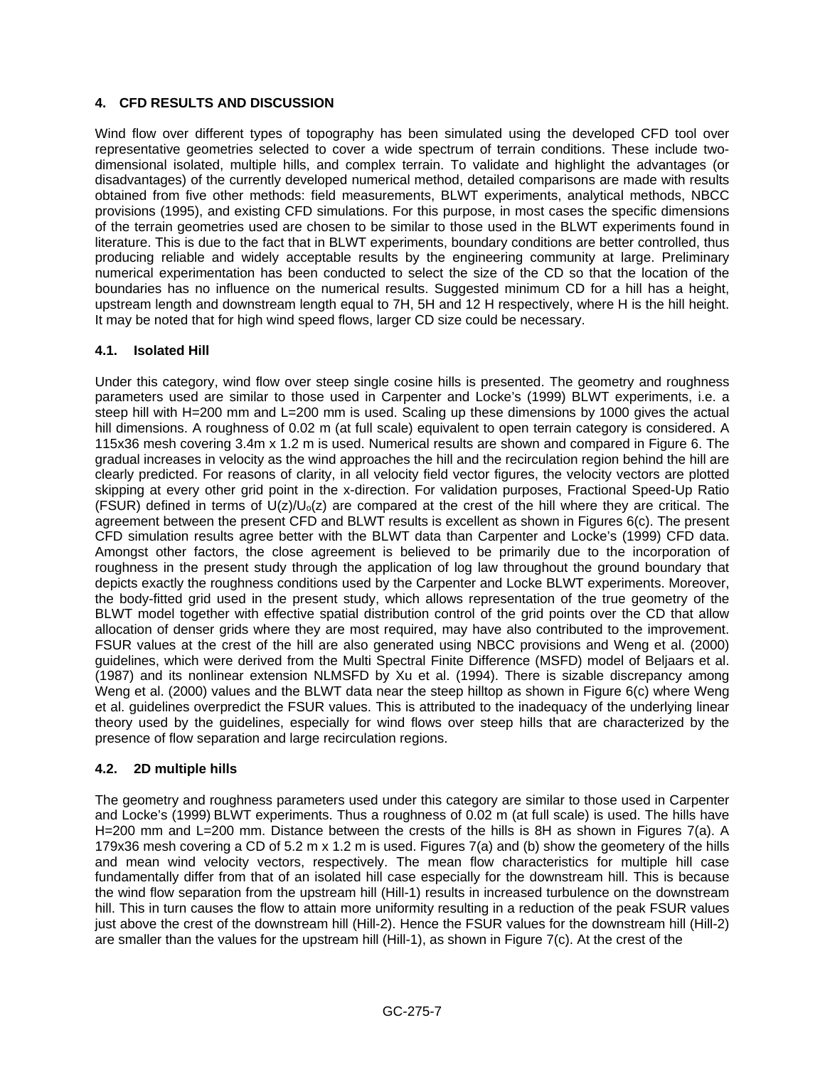# **4. CFD RESULTS AND DISCUSSION**

Wind flow over different types of topography has been simulated using the developed CFD tool over representative geometries selected to cover a wide spectrum of terrain conditions. These include twodimensional isolated, multiple hills, and complex terrain. To validate and highlight the advantages (or disadvantages) of the currently developed numerical method, detailed comparisons are made with results obtained from five other methods: field measurements, BLWT experiments, analytical methods, NBCC provisions (1995), and existing CFD simulations. For this purpose, in most cases the specific dimensions of the terrain geometries used are chosen to be similar to those used in the BLWT experiments found in literature. This is due to the fact that in BLWT experiments, boundary conditions are better controlled, thus producing reliable and widely acceptable results by the engineering community at large. Preliminary numerical experimentation has been conducted to select the size of the CD so that the location of the boundaries has no influence on the numerical results. Suggested minimum CD for a hill has a height, upstream length and downstream length equal to 7H, 5H and 12 H respectively, where H is the hill height. It may be noted that for high wind speed flows, larger CD size could be necessary.

# **4.1. Isolated Hill**

Under this category, wind flow over steep single cosine hills is presented. The geometry and roughness parameters used are similar to those used in Carpenter and Locke's (1999) BLWT experiments, i.e. a steep hill with H=200 mm and L=200 mm is used. Scaling up these dimensions by 1000 gives the actual hill dimensions. A roughness of 0.02 m (at full scale) equivalent to open terrain category is considered. A 115x36 mesh covering 3.4m x 1.2 m is used. Numerical results are shown and compared in Figure 6. The gradual increases in velocity as the wind approaches the hill and the recirculation region behind the hill are clearly predicted. For reasons of clarity, in all velocity field vector figures, the velocity vectors are plotted skipping at every other grid point in the x-direction. For validation purposes, Fractional Speed-Up Ratio (FSUR) defined in terms of  $U(z)/U_0(z)$  are compared at the crest of the hill where they are critical. The agreement between the present CFD and BLWT results is excellent as shown in Figures 6(c). The present CFD simulation results agree better with the BLWT data than Carpenter and Locke's (1999) CFD data. Amongst other factors, the close agreement is believed to be primarily due to the incorporation of roughness in the present study through the application of log law throughout the ground boundary that depicts exactly the roughness conditions used by the Carpenter and Locke BLWT experiments. Moreover, the body-fitted grid used in the present study, which allows representation of the true geometry of the BLWT model together with effective spatial distribution control of the grid points over the CD that allow allocation of denser grids where they are most required, may have also contributed to the improvement. FSUR values at the crest of the hill are also generated using NBCC provisions and Weng et al. (2000) guidelines, which were derived from the Multi Spectral Finite Difference (MSFD) model of Beljaars et al. (1987) and its nonlinear extension NLMSFD by Xu et al. (1994). There is sizable discrepancy among Weng et al. (2000) values and the BLWT data near the steep hilltop as shown in Figure 6(c) where Weng et al. guidelines overpredict the FSUR values. This is attributed to the inadequacy of the underlying linear theory used by the guidelines, especially for wind flows over steep hills that are characterized by the presence of flow separation and large recirculation regions.

# **4.2. 2D multiple hills**

The geometry and roughness parameters used under this category are similar to those used in Carpenter and Locke's (1999) BLWT experiments. Thus a roughness of 0.02 m (at full scale) is used. The hills have H=200 mm and L=200 mm. Distance between the crests of the hills is 8H as shown in Figures 7(a). A 179x36 mesh covering a CD of 5.2 m x 1.2 m is used. Figures 7(a) and (b) show the geometery of the hills and mean wind velocity vectors, respectively. The mean flow characteristics for multiple hill case fundamentally differ from that of an isolated hill case especially for the downstream hill. This is because the wind flow separation from the upstream hill (Hill-1) results in increased turbulence on the downstream hill. This in turn causes the flow to attain more uniformity resulting in a reduction of the peak FSUR values just above the crest of the downstream hill (Hill-2). Hence the FSUR values for the downstream hill (Hill-2) are smaller than the values for the upstream hill (Hill-1), as shown in Figure 7(c). At the crest of the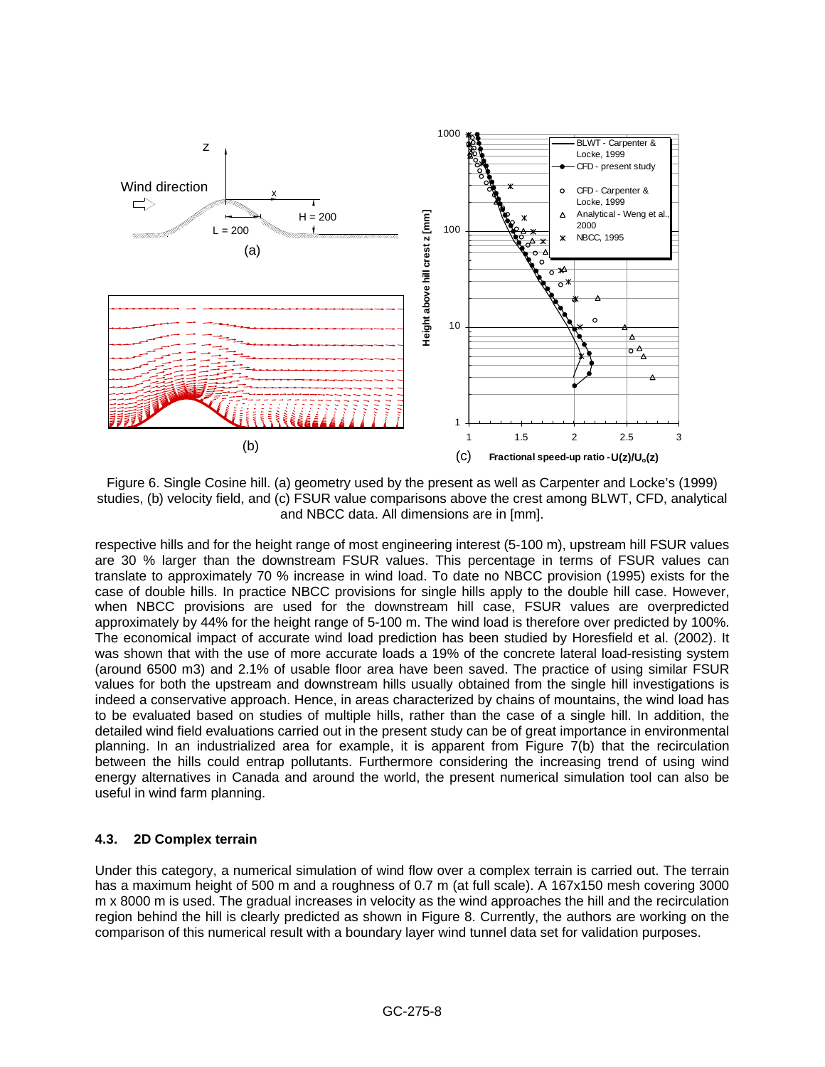

Figure 6. Single Cosine hill. (a) geometry used by the present as well as Carpenter and Locke's (1999) studies, (b) velocity field, and (c) FSUR value comparisons above the crest among BLWT, CFD, analytical and NBCC data. All dimensions are in [mm].

respective hills and for the height range of most engineering interest (5-100 m), upstream hill FSUR values are 30 % larger than the downstream FSUR values. This percentage in terms of FSUR values can translate to approximately 70 % increase in wind load. To date no NBCC provision (1995) exists for the case of double hills. In practice NBCC provisions for single hills apply to the double hill case. However, when NBCC provisions are used for the downstream hill case, FSUR values are overpredicted approximately by 44% for the height range of 5-100 m. The wind load is therefore over predicted by 100%. The economical impact of accurate wind load prediction has been studied by Horesfield et al. (2002). It was shown that with the use of more accurate loads a 19% of the concrete lateral load-resisting system (around 6500 m3) and 2.1% of usable floor area have been saved. The practice of using similar FSUR values for both the upstream and downstream hills usually obtained from the single hill investigations is indeed a conservative approach. Hence, in areas characterized by chains of mountains, the wind load has to be evaluated based on studies of multiple hills, rather than the case of a single hill. In addition, the detailed wind field evaluations carried out in the present study can be of great importance in environmental planning. In an industrialized area for example, it is apparent from Figure 7(b) that the recirculation between the hills could entrap pollutants. Furthermore considering the increasing trend of using wind energy alternatives in Canada and around the world, the present numerical simulation tool can also be useful in wind farm planning.

# **4.3. 2D Complex terrain**

Under this category, a numerical simulation of wind flow over a complex terrain is carried out. The terrain has a maximum height of 500 m and a roughness of 0.7 m (at full scale). A 167x150 mesh covering 3000 m x 8000 m is used. The gradual increases in velocity as the wind approaches the hill and the recirculation region behind the hill is clearly predicted as shown in Figure 8. Currently, the authors are working on the comparison of this numerical result with a boundary layer wind tunnel data set for validation purposes.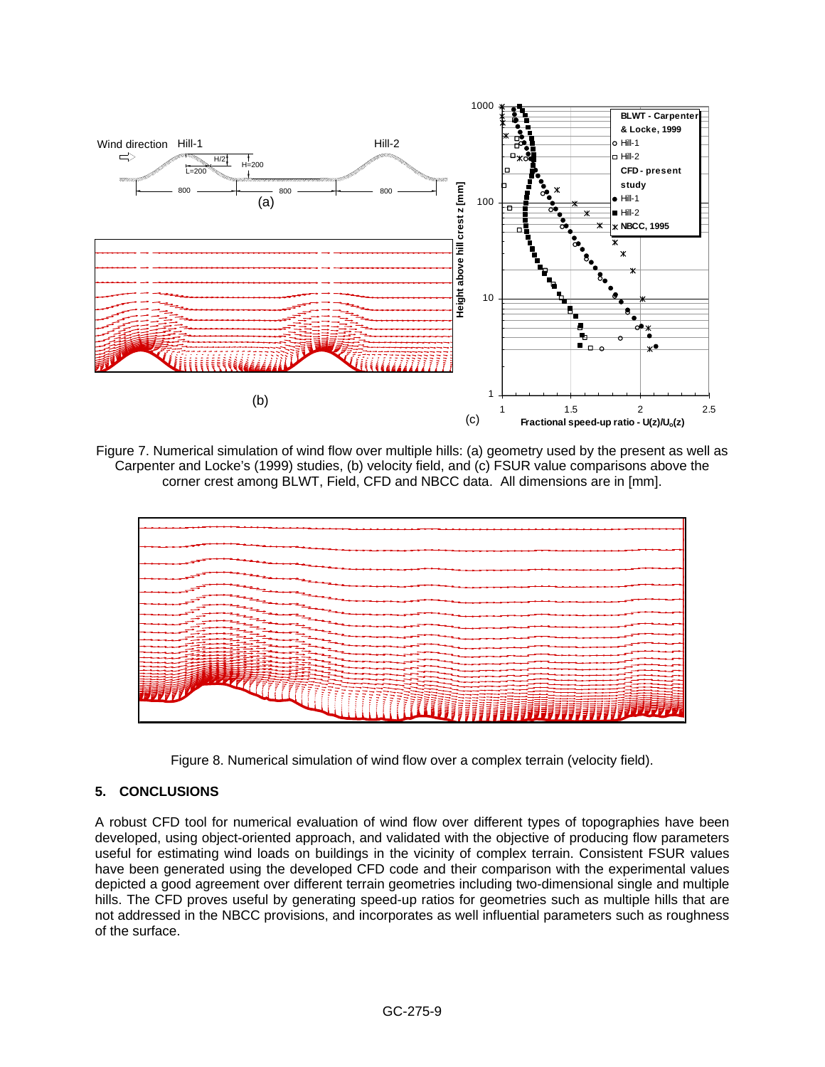

Figure 7. Numerical simulation of wind flow over multiple hills: (a) geometry used by the present as well as Carpenter and Locke's (1999) studies, (b) velocity field, and (c) FSUR value comparisons above the corner crest among BLWT, Field, CFD and NBCC data. All dimensions are in [mm].



Figure 8. Numerical simulation of wind flow over a complex terrain (velocity field).

#### **5. CONCLUSIONS**

A robust CFD tool for numerical evaluation of wind flow over different types of topographies have been developed, using object-oriented approach, and validated with the objective of producing flow parameters useful for estimating wind loads on buildings in the vicinity of complex terrain. Consistent FSUR values have been generated using the developed CFD code and their comparison with the experimental values depicted a good agreement over different terrain geometries including two-dimensional single and multiple hills. The CFD proves useful by generating speed-up ratios for geometries such as multiple hills that are not addressed in the NBCC provisions, and incorporates as well influential parameters such as roughness of the surface.